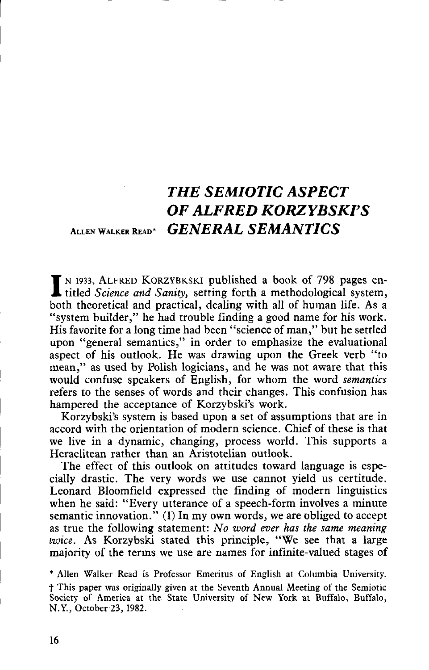## THE SEMIOTIC ASPECT OF ALFRED KORZYBSKI'S ALLEN WALKER READ<sup>\*</sup> GENERAL SEMANTICS

IN 1933, ALFRED KORZYBKSKI published a book of 798 pages en-<br>titled Science and Sanity, setting forth a methodological system, titled Science and Sanity, setting forth a methodological system, both theoretical and practical, dealing with all of human life. As a "system builder," he had trouble finding a good name for his work. His favorite for a long time had been "science of man," but he settled upon "general semantics," in order to emphasize the evaluational aspect of his outlook. He was drawing upon the Greek verb "to mean," as used by Polish logicians, and he was not aware that this would confuse speakers of English, for whom the word semantics refers to the senses of words and their changes . This confusion has hampered the acceptance of Korzybski's work.

Korzybski's system is based upon a set of assumptions that are in accord with the orientation of modern science . Chief of these is that we live in a dynamic, changing, process world. This supports a Heraclitean rather than an Aristotelian outlook .

The effect of this outlook on attitudes toward language is especially drastic. The very words we use cannot yield us certitude. Leonard Bloomfield expressed the finding of modern linguistics when he said: "Every utterance of a speech-form involves a minute semantic innovation." (1) In my own words, we are obliged to accept as true the following statement: No word ever has the same meaning twice . As Korzybski stated this principle, "We see that a large majority of the terms we use are names for infinite-valued stages of

\* Allen Walker Read is Professor Emeritus of English at Columbia University. f This paper was originally given at the Seventh Annual Meeting of the Semiotic Society of America at the State University of New York at Buffalo, Buffalo, N.Y., October 23, 1982 .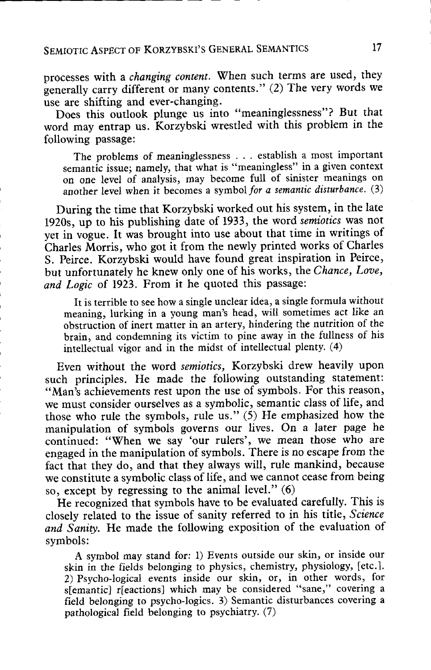processes with a changing content. When such terms are used, they generally carry different or many contents ." (2) The very words we use are shifting and ever-changing.

Does this outlook plunge us into "meaninglessness"? But that word may entrap us . Korzybski wrestled with this problem in the following passage :

The problems of meaninglessness . . . establish a most important semantic issue; namely, that what is "meaningless" in a given context on one level of analysis, may become full of sinister meanings on another level when it becomes a symbol for a semantic disturbance. (3)

During the time that Korzybski worked out his system, in the late 1920s, up to his publishing date of 1933, the word semiotics was not yet in vogue. It was brought into use about that time in writings of Charles Morris, who got it from the newly printed works of Charles S. Peirce. Korzybski would have found great inspiration in Peirce, but unfortunately he knew only one of his works, the Chance, Love, and Logic of 1923. From it he quoted this passage:

It is terrible to see how a single unclear idea, a single formula without meaning, lurking in a young man's head, will sometimes act like an obstruction of inert matter in an artery, hindering the nutrition of the brain, and condemning its victim to pine away in the fullness of his intellectual vigor and in the midst of intellectual plenty . (4)

Even without the word semiotics, Korzybski drew heavily upon such principles. He made the following outstanding statement: "Man's achievements rest upon the use of symbols. For this reason, we must consider ourselves as a symbolic, semantic class of life, and those who rule the symbols, rule us ." (5) He emphasized how the manipulation of symbols governs our lives. On a later page he continued: "When we say 'our rulers', we mean those who are engaged in the manipulation of symbols . There is no escape from the fact that they do, and that they always will, rule mankind, because we constitute a symbolic class of life, and we cannot cease from being so, except by regressing to the animal level."  $(6)$ 

He recognized that symbols have to be evaluated carefully. This is closely related to the issue of sanity referred to in his title, Science and Sanity. He made the following exposition of the evaluation of symbols:

A symbol may stand for: 1) Events outside our skin, or inside our skin in the fields belonging to physics, chemistry, physiology, [etc.]. 2) Psycho-logical events inside our skin, or, in other words, for s[emantic] r[eactions] which may be considered "sane," covering a field belonging to psycho-logics . 3) Semantic disturbances covering a pathological field belonging to psychiatry. (7)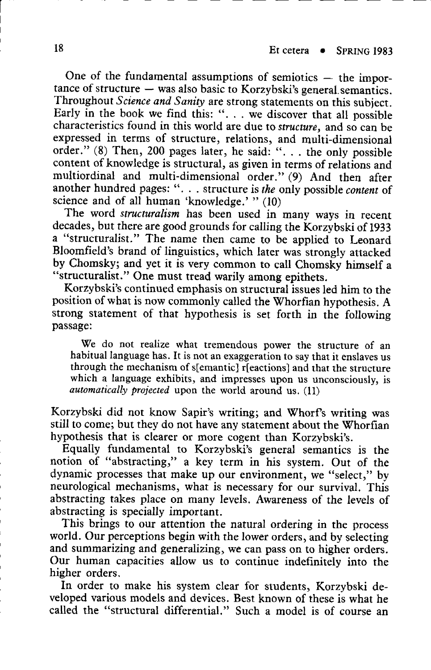One of the fundamental assumptions of semiotics  $-$  the impor $t$ ance of structure  $-$  was also basic to Korzybski's general semantics. Throughout Science and Sanity are strong statements on this subject. Early in the book we find this: ". . . we discover that all possible characteristics found in this world are due to structure, and so can be expressed in terms of structure, relations, and multi-dimensional order." (8) Then, 200 pages later, he said: ". . . the only possible content of knowledge is structural, as given in terms of relations and multiordinal and multi-dimensional order." (9) And then after another hundred pages: " $\ldots$  structure is the only possible content of science and of all human 'knowledge.' "  $(10)$ 

The word structuralism has been used in many ways in recent decades, but there are good grounds for calling the Korzybski of 1933 a "structuralist." The name then came to be applied to Leonard Bloomfield's brand of linguistics, which later was strongly attacked by Chomsky; and yet it is very common to call Chomsky himself a "structuralist." One must tread warily among epithets.

Korzybski's continued emphasis on structural issues led him to the position of what is now commonly called the Whorfian hypothesis . A strong statement of that hypothesis is set forth in the following passage:

We do not realize what tremendous power the structure of an habitual language has. It is not an exaggeration to say that it enslaves us through the mechanism of s[emantic] r[eactions] and that the structure which a language exhibits, and impresses upon us unconsciously, is automatically projected upon the world around us. (11)

Korzybski did not know Sapir's writing ; and Whorf's writing was still to come; but they do not have any statement about the Whorfian hypothesis that is clearer or more cogent than Korzybski's.

Equally fundamental to Korzybski's general semantics is the notion of "abstracting," a key term in his system. Out of the dynamic processes that make up our environment, we "select," by neurological mechanisms, what is necessary for our survival. This abstracting takes place on many levels . Awareness of the levels of abstracting is specially important.

This brings to our attention the natural ordering in the process world. Our perceptions begin with the lower orders, and by selecting and summarizing and generalizing, we can pass on to higher orders. Our human capacities allow us to continue indefinitely into the higher orders.

In order to make his system clear for students, Korzybski developed various models and devices . Best known of these is what he called the "structural differential." Such a model is of course an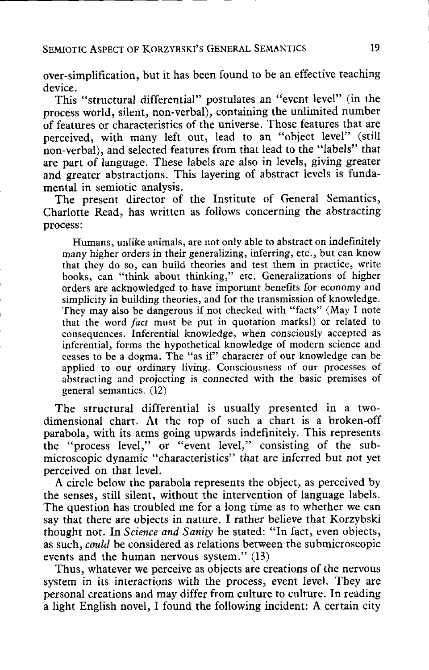over-simplification, but it has been found to be an effective teaching device.

This "structural differential" postulates an "event level" (in the process world, silent, non-verbal), containing the unlimited number of features or characteristics of the universe . Those features that are perceived, with many left out, lead to an "object level" (still non-verbal), and selected features from that lead to the "labels" that are part of language. These labels are also in levels, giving greater and greater abstractions. This layering of abstract levels is fundamental in semiotic analysis .

The present director of the Institute of General Semantics, Charlotte Read, has written as follows concerning the abstracting process :

Humans, unlike animals, are not only able to abstract on indefinitely many higher orders in their generalizing, inferring, etc ., but can know that they do so, can build theories and test them in practice, write books, can "think about thinking," etc. Generalizations of higher orders are acknowledged to have important benefits for economy and simplicity in building theories, and for the transmission of knowledge . They may also be dangerous if not checked with "facts" (May I note that the word fact must be put in quotation marks!) or related to consequences. Inferential knowledge, when consciously accepted as inferential, forms the hypothetical knowledge of modern science and ceases to be a dogma. The "as if" character of our knowledge can be applied to our ordinary living. Consciousness of our processes of abstracting and projecting is connected with the basic premises of general semantics . (12)

The structural differential is usually presented in a twodimensional chart. At the top of such a chart is a broken-off parabola, with its arms going upwards indefinitely. This represents the "process level," or "event level," consisting of the submicroscopic dynamic "characteristics" that are inferred but not yet perceived on that level.

A circle below the parabola represents the object, as perceived by the senses, still silent, without the intervention of language labels . The question has troubled me for a long time as to whether we can say that there are objects in nature. I rather believe that Korzybski thought not. In Science and Sanity he stated: "In fact, even objects, as such, could be considered as relations between the submicroscopic events and the human nervous system." (13)

Thus, whatever we perceive as objects are creations of the nervous system in its interactions with the process, event level. They are personal creations and may differ from culture to culture . In reading a light English novel, I found the following incident: A certain city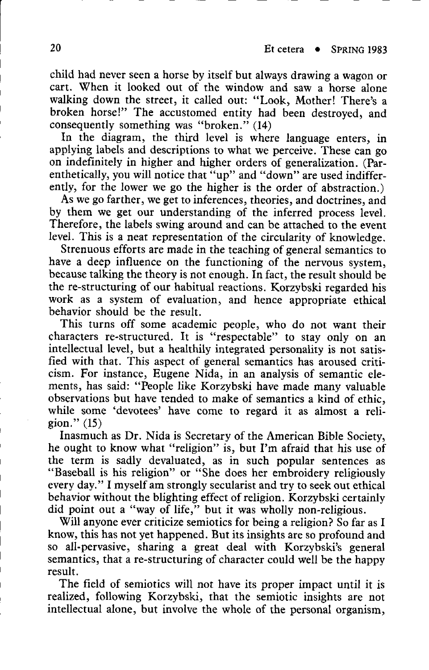child had never seen a horse by itself but always drawing a wagon or cart. When it looked out of the window and saw a horse alone walking down the street, it called out: "Look, Mother! There's a broken horse!" The accustomed entity had been destroyed, and consequently something was "broken."  $(14)$ 

In the diagram, the third level is where language enters, in applying labels and descriptions to what we perceive. These can go on indefinitely in higher and higher orders of generalization . (Parenthetically, you will notice that "up" and "down" are used indifferently, for the lower we go the higher is the order of abstraction.)

As we go farther, we get to inferences, theories, and doctrines, and by them we get our understanding of the inferred process level. Therefore, the labels swing around and can be attached to the event level. This is a neat representation of the circularity of knowledge.

Strenuous efforts are made in the teaching of general semantics to have a deep influence on the functioning of the nervous system, because talking the theory is not enough . In fact, the result should be the re-structuring of our habitual reactions . Korzybski regarded his work as a system of evaluation, and hence appropriate ethical behavior should be the result.

This turns off some academic people, who do not want their characters re-structured. It is "respectable" to stay only on an intellectual level, but a healthily integrated personality is not satisfied with that. This aspect of general semantics has aroused criticism. For instance, Eugene Nida, in an analysis of semantic elements, has said: "People like Korzybski have made many valuable observations but have tended to make of semantics a kind of ethic, while some 'devotees' have come to regard it as almost a religion." (15)

Inasmuch as Dr. Nida is Secretary of the American Bible Society, he ought to know what "religion" is, but I'm afraid that his use of the term is sadly devaluated, as in such popular sentences as "Baseball is his religion" or "She does her embroidery religiously every day." I myself am strongly secularist and try to seek out ethical behavior without the blighting effect of religion . Korzybski certainly did point out a "way of life," but it was wholly non-religious.

Will anyone ever criticize semiotics for being a religion? So far as I know, this has not yet happened . But its insights are so profound and so all-pervasive, sharing a great deal with Korzybski's general semantics, that a re-structuring of character could well be the happy result.

The field of semiotics will not have its proper impact until it is realized, following Korzybski, that the semiotic insights are not intellectual alone, but involve the whole of the personal organism,